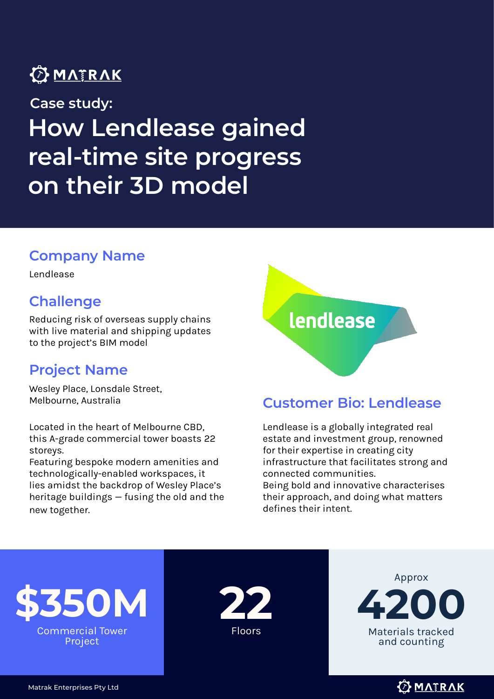### **OMATRAK**

**How Lendlease gained real-time site progress on their 3D model Case study:**

#### **Company Name**

Lendlease

#### **Challenge**

Reducing risk of overseas supply chains with live material and shipping updates to the project's BIM model

#### **Project Name**

Wesley Place, Lonsdale Street,

Located in the heart of Melbourne CBD, this A-grade commercial tower boasts 22 storeys.

Featuring bespoke modern amenities and technologically-enabled workspaces, it lies amidst the backdrop of Wesley Place's heritage buildings — fusing the old and the new together.

# lendlease

#### Melbourne, Australia **Customer Bio: Lendlease**

Lendlease is a globally integrated real estate and investment group, renowned for their expertise in creating city infrastructure that facilitates strong and connected communities. Being bold and innovative characterises their approach, and doing what matters defines their intent.







**OMATRAK** 

Matrak Enterprises Pty Ltd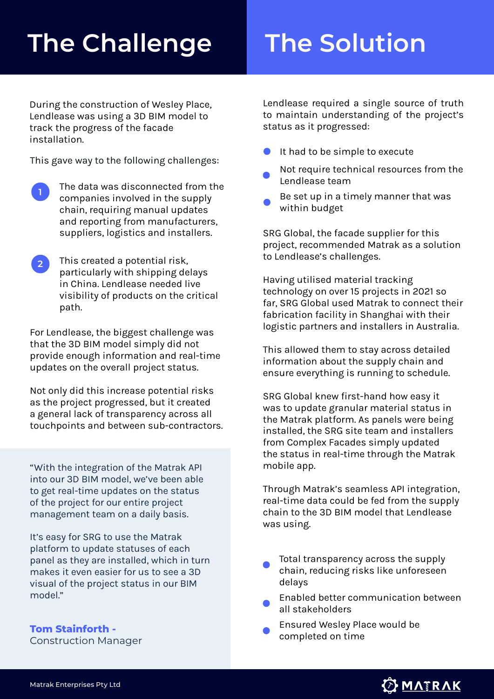# **The Challenge The Solution**

During the construction of Wesley Place, Lendlease was using a 3D BIM model to track the progress of the facade installation.

This gave way to the following challenges:

- The data was disconnected from the companies involved in the supply chain, requiring manual updates and reporting from manufacturers, suppliers, logistics and installers. **1**
- This created a potential risk, particularly with shipping delays in China. Lendlease needed live visibility of products on the critical path. **2**

For Lendlease, the biggest challenge was that the 3D BIM model simply did not provide enough information and real-time updates on the overall project status.

Not only did this increase potential risks as the project progressed, but it created a general lack of transparency across all touchpoints and between sub-contractors.

"With the integration of the Matrak API into our 3D BIM model, we've been able to get real-time updates on the status of the project for our entire project management team on a daily basis.

It's easy for SRG to use the Matrak platform to update statuses of each panel as they are installed, which in turn makes it even easier for us to see a 3D visual of the project status in our BIM model."

**Tom Stainforth -** Construction Manager Lendlease required a single source of truth to maintain understanding of the project's status as it progressed:

- It had to be simple to execute
- Not require technical resources from the Lendlease team
- Be set up in a timely manner that was within budget

SRG Global, the facade supplier for this project, recommended Matrak as a solution to Lendlease's challenges.

Having utilised material tracking technology on over 15 projects in 2021 so far, SRG Global used Matrak to connect their fabrication facility in Shanghai with their logistic partners and installers in Australia.

This allowed them to stay across detailed information about the supply chain and ensure everything is running to schedule.

SRG Global knew first-hand how easy it was to update granular material status in the Matrak platform. As panels were being installed, the SRG site team and installers from Complex Facades simply updated the status in real-time through the Matrak mobile app.

Through Matrak's seamless API integration, real-time data could be fed from the supply chain to the 3D BIM model that Lendlease was using.

- Total transparency across the supply chain, reducing risks like unforeseen delays
- Enabled better communication between all stakeholders
- Ensured Wesley Place would be completed on time